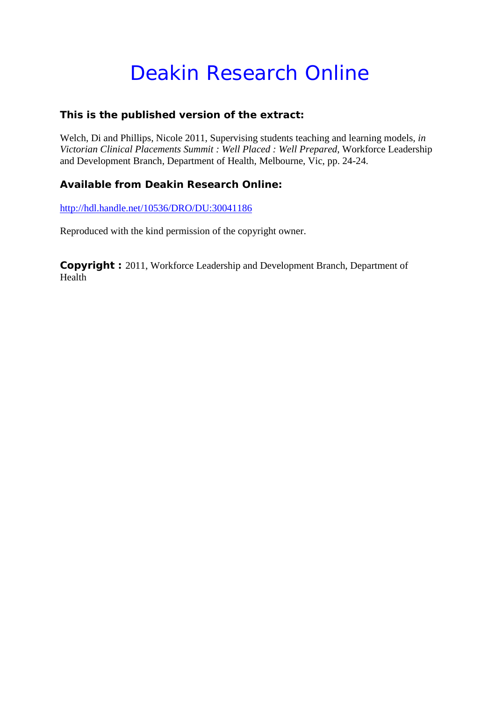# Deakin Research Online

### **This is the published version of the extract:**

Welch, Di and Phillips, Nicole 2011, Supervising students teaching and learning models*, in Victorian Clinical Placements Summit : Well Placed : Well Prepared*, Workforce Leadership and Development Branch, Department of Health, Melbourne, Vic, pp. 24-24.

## **Available from Deakin Research Online:**

<http://hdl.handle.net/10536/DRO/DU:30041186>

Reproduced with the kind permission of the copyright owner.

**Copyright :** 2011, Workforce Leadership and Development Branch, Department of Health